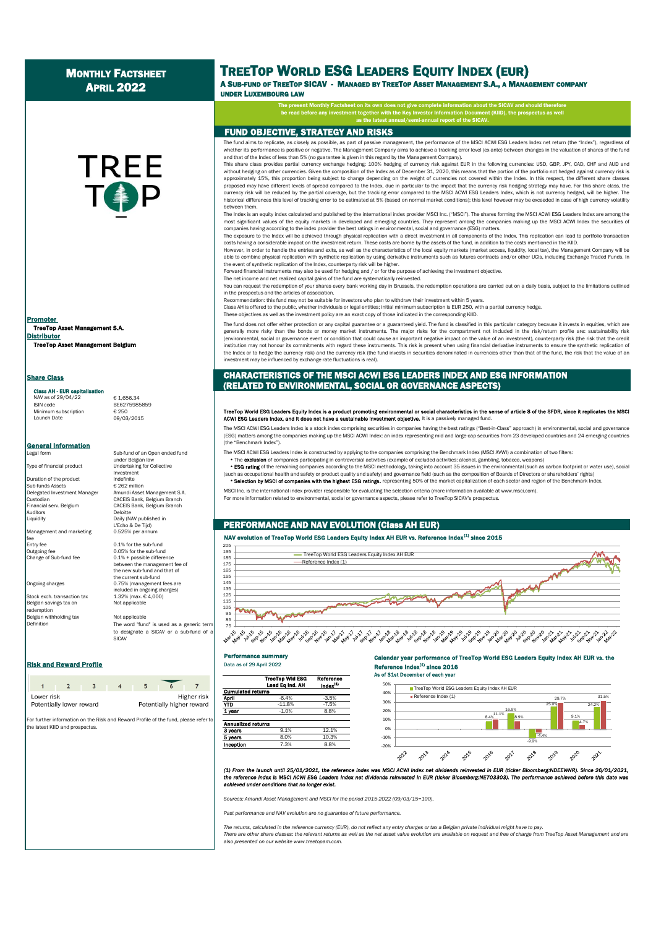# **MONTHLY FACTSHEET** APRIL 2022

**TREE** 

# TREETOP WORLD ESG LEADERS EQUITY INDEX (EUR) A SUB-FUND OF TREETOP SICAV - MANAGED BY TREETOP ASSET MANAGEMENT S.A., A MANAGEMENT COMPANY

UNDER LUXEMBOURG LAW

The present Monthly Factsheet on its own does not give complete information about the SICAV and should therefo

be read before any investment together with the Key Investor Information Document (KIID), the prospectus as well as the latest annual/semi-annual report of the SICAV.

## FUND OBJECTIVE, STRATEGY AND RISKS

The fund aims to replicate, as closely as possible, as part of passive management, the performance of the MSCI ACWI ESG Leaders Index net return (the "Index"), regardless of whether its performance is positive or negative. The Management Company aims to achieve a tracking error level (ex-ante) between changes in the valuation of shares of the fund and that of the Index of less than 5% (no guarantee is given in this regard by the Management Company).

This share class provides partial currency exchange hedging: 100% hedging of currency risk against EUR in the following currencies: USD, GBP, JPY, CAD, CHF and AUD and without hedging on other currencies. Given the composition of the Index as of December 31, 2020, this means that the portion of the portfolio not hedged against currency risk is approximately 15%, this proportion being subject to change depending on the weight of currencies not covered within the Index. In this respect, the different share classes proposed may have different levels of spread compared to the Index, due in particular to the impact that the currency risk hedging strategy may have. For this share class, the currency risk will be reduced by the partial coverage, but the tracking error compared to the MSCI ACWI ESG Leaders Index, which is not currency hedged, will be higher. The historical differences this level of tracking error to be estimated at 5% (based on normal market conditions); this level however may be exceeded in case of high currency volatility between them.

The Index is an equity index calculated and published by the international index provider MSCI Inc. ("MSCI"). The shares forming the MSCI ACWI ESG Leaders Index are among the most significant values of the equity markets in developed and emerging countries. They represent among the companies making up the MSCI ACWI Index the securities of companies having according to the index provider the best ratings in environmental, social and governance (ESG) matters.

The exposure to the Index will be achieved through physical replication with a direct investment in all components of the Index. This replication can lead to portfolio transaction costs having a considerable impact on the investment return. These costs are borne by the assets of the fund, in addition to the costs mentioned in the KIID.

However, in order to handle the entries and exits, as well as the characteristics of the local equity markets (market access, liquidity, local tax), the Management Company will be able to combine physical replication with synthetic replication by using derivative instruments such as futures contracts and/or other UCIs, including Exchange Traded Funds. In the event of synthetic replication of the Index, counterparty risk will be higher.

Forward financial instruments may also be used for hedging and / or for the purpose of achieving the investment objective.

The net income and net realized capital gains of the fund are systematically reinvested.

You can request the redemption of your shares every bank working day in Brussels, the redemption operations are carried out on a daily basis, subject to the limitations outlined in the prospectus and the articles of association.

Recommendation: this fund may not be suitable for investors who plan to withdraw their investment within 5 years.

Class AH is offered to the public, whether individuals or legal entities; initial minimum subscription is EUR 250, with a partial currency hedge.

These objectives as well as the investment policy are an exact copy of those indicated in the corresponding KIID.

The fund does not offer either protection or any capital guarantee or a guaranteed yield. The fund is classified in this particular category because it invests in equities, which are generally more risky than the bonds or money market instruments. The major risks for the compartment not included in the risk/return profile are: sustainability risk (environmental, social or governance event or condition that could cause an important negative impact on the value of an investment), counterparty risk (the risk that the credit institution may not honour its commitments with regard these instruments. This risk is present when using financial derivative instruments to ensure the synthetic replication of the Index or to hedge the currency risk) and the currency risk (the fund invests in securities denominated in currencies other than that of the fund, the risk that the value of an investment may be influenced by exchange rate fluctuations is real).

## CHARACTERISTICS OF THE MSCI ACWI ESG LEADERS INDEX AND ESG INFORMATION (RELATED TO ENVIRONMENTAL, SOCIAL OR GOVERNANCE ASPECTS)

# TreeTop World ESG Leaders Equity Index is a product promoting environmental or social characteristics in the sense of article 8 of the SFDR, since it replicates the MSC<br>ACWI ESG Leaders Index, and it does not have a sustai

The MSCI ACWI ESG Leaders Index is a stock index comprising securities in companies having the best ratings ("Best-in-Class" approach) in environmental, social and governance (ESG) matters among the companies making up the MSCI ACWI Index: an index representing mid and large-cap securities from 23 developed countries and 24 emerging countries (the "Benchmark Index").

The MSCI ACWI ESG Leaders Index is constructed by applying to the companies comprising the Benchmark Index (MSCI AVWI) a combination of two filters<br>• The exclusion of companies participating in controversial activities (ex

**ESG rating** of the remaining companies according to the MSCI methodology, taking into account 35 issues in the environmental (such as carbon footprint or water use), social

(such as occupational health and safety or product quality and safety) and governance field (such as the composition of Boards of Directors or shareholders' rights) Selection by MSCI of companies with the highest ESG ratings, representing 50% of the market capitalization of each sector and region of the Benchmark Index.

MSCI Inc. is the international index provider responsible for evaluating the selection criteria (more information available at www.msci.com). For more information related to environmental, social or governance aspects, please refer to TreeTop SICAV's prospectus.

## PERFORMANCE AND NAV EVOLUTION (Class AH EUR)

# NAV evolution of TreeTop World ESG Leaders Equity Index AH EUR vs. Reference Index  $^{(1)}$  since 2015



#### Performance summary

#### Calendar year performance of TreeTop World ESG Leaders Equity Index AH EUR vs. the Reference Index<sup>(1)</sup> since 2016 As of 31st December of each year





(1) From the launch until 25/01/2021, the reference index was MSCI ACWI index net dividends reinvested in EUR (ticker Bioomberg:NDEEWNR). Since 26/01/2021,<br>the reference index is MSCI ACWI ESG Leaders index net dividends r *achieved under conditions that no longer exist.*

 *Sources: Amundi Asset Management and MSCI for the period 2015-2022 (09/03/15=100).*

*Past performance and NAV evolution are no guarantee of future performance.*

*The returns, calculated in the reference currency (EUR), do not reflect any entry charges or tax a Belgian private individual might have to pay.* There are other share classes: the relevant returns as well as the net asset value evolution are available on request and free of charge from TreeTop Asset Management and are *also presented on our website www.treetopam.com.*

TreeTop Asset Management S.A. Distributor TreeTop Asset Management Belgium **Promoter** 

**Share Class** 

# Class AH - EUR capit

NAV as of 29/04/22 € 1,656.34<br>ISIN code BE6275989 Minimum subscription<br>Launch Date

```
BE6275985859
09/03/2015
```
**General Information** 

Sub-funds Assets<br>Delegated Investment Manage Financial serv. Belgium CACEIS Bank, Belgium Branch essantial de la contrata de la contrata de la contrata de la contrata de la contrata de la contrata de la cont<br>Del Carlo de la contrata de la contrata de la contrata de la contrata de la contrata de la contrata de la cont

Management and marketing fee<br>Entry fee entry fee 0.1% for the sub-fund<br>
0.05% for the sub-fund<br>
0.05% for the sub-fun

Belgian savings tax on Not applicable redemption

Belgian withholding tax Not applicable Definition The word "fund" is used as a generic term to designate a SICAV or a sub-fund of SICAV

## **Risk and Reward Profile Contract Contract Automobile Data as of 29 April 2022**

| Lower risk<br>Potentially lower reward |  |  | Potentially higher reward | Higher risl |
|----------------------------------------|--|--|---------------------------|-------------|

For further information on the Risk and Reward Profile of the fund, please refer to the latest KIID and prospectus.

under Belgian law Type of financial product Undertaking for Collective Investment<br>Indefinite Duration of the product Indefinite<br>Sub-funds Assets  $\epsilon$  262 million Delegated Investment Manager Amundi Asset Management S.A. Custodian CACEIS Bank, Belgium Branch

Daily (NAV published in L'Echo & De Tijd)<br>0.525% per annum

Outgoing fee 0.05% for the sub-fund<br>Change of Sub-fund fee 0.1% + possible differe 0.1% + possible difference between the management fee of the new sub-fund and that of the current sub-fund Ongoing charges 0.75% (management fees are included in ongoing charges) Stock exch. transaction tax 1.32% (max. € 4,000)

Sub-fund of an Open ended fund